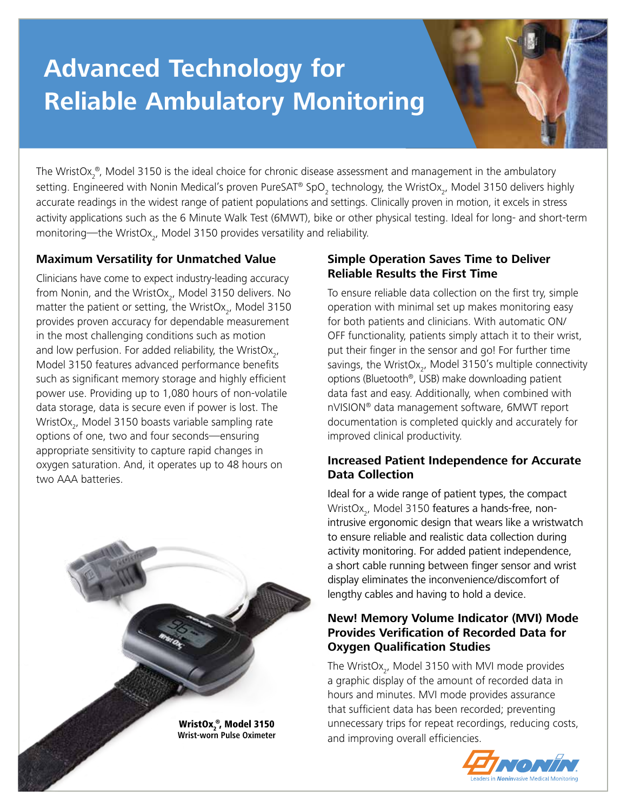# **Advanced Technology for Reliable Ambulatory Monitoring**

The WristOx $_2^{\circ}$ , Model 3150 is the ideal choice for chronic disease assessment and management in the ambulatory setting. Engineered with Nonin Medical's proven PureSAT® SpO<sub>2</sub> technology, the WristOx<sub>2</sub>, Model 3150 delivers highly accurate readings in the widest range of patient populations and settings. Clinically proven in motion, it excels in stress activity applications such as the 6 Minute Walk Test (6MWT), bike or other physical testing. Ideal for long- and short-term monitoring—the WristOx<sub>2</sub>, Model 3150 provides versatility and reliability.

# **Maximum Versatility for Unmatched Value**

Clinicians have come to expect industry-leading accuracy from Nonin, and the WristOx<sub>2</sub>, Model 3150 delivers. No matter the patient or setting, the WristOx<sub>2</sub>, Model 3150 provides proven accuracy for dependable measurement in the most challenging conditions such as motion and low perfusion. For added reliability, the WristOx<sub>2</sub>, Model 3150 features advanced performance benefits such as significant memory storage and highly efficient power use. Providing up to 1,080 hours of non-volatile data storage, data is secure even if power is lost. The WristOx<sub>2</sub>, Model 3150 boasts variable sampling rate options of one, two and four seconds—ensuring appropriate sensitivity to capture rapid changes in oxygen saturation. And, it operates up to 48 hours on two AAA batteries.



## **Simple Operation Saves Time to Deliver Reliable Results the First Time**

To ensure reliable data collection on the first try, simple operation with minimal set up makes monitoring easy for both patients and clinicians. With automatic ON/ OFF functionality, patients simply attach it to their wrist, put their finger in the sensor and go! For further time savings, the WristOx<sub>2</sub>, Model 3150's multiple connectivity options (Bluetooth®, USB) make downloading patient data fast and easy. Additionally, when combined with nVISION® data management software, 6MWT report documentation is completed quickly and accurately for improved clinical productivity.

# **Increased Patient Independence for Accurate Data Collection**

Ideal for a wide range of patient types, the compact WristOx<sub>2</sub>, Model 3150 features a hands-free, nonintrusive ergonomic design that wears like a wristwatch to ensure reliable and realistic data collection during activity monitoring. For added patient independence, a short cable running between finger sensor and wrist display eliminates the inconvenience/discomfort of lengthy cables and having to hold a device.

## **New! Memory Volume Indicator (MVI) Mode Provides Verification of Recorded Data for Oxygen Qualification Studies**

The WristOx<sub>2</sub>, Model 3150 with MVI mode provides a graphic display of the amount of recorded data in hours and minutes. MVI mode provides assurance that sufficient data has been recorded; preventing unnecessary trips for repeat recordings, reducing costs, and improving overall efficiencies.